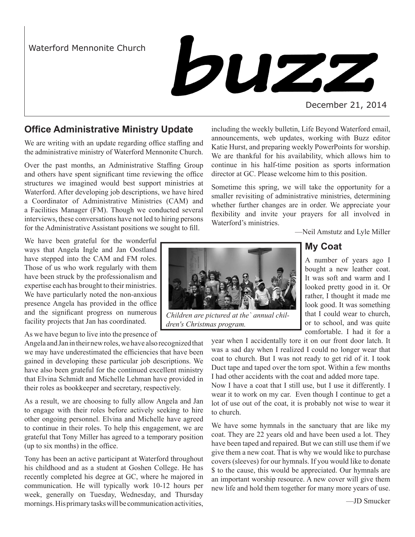## Waterford Mennonite Church



#### December 21, 2014

## **Office Administrative Ministry Update**

We are writing with an update regarding office staffing and the administrative ministry of Waterford Mennonite Church.

Over the past months, an Administrative Staffing Group and others have spent significant time reviewing the office structures we imagined would best support ministries at Waterford. After developing job descriptions, we have hired a Coordinator of Administrative Ministries (CAM) and a Facilities Manager (FM). Though we conducted several interviews, these conversations have not led to hiring persons for the Administrative Assistant positions we sought to fill.

We have been grateful for the wonderful ways that Angela Ingle and Jan Oostland have stepped into the CAM and FM roles. Those of us who work regularly with them have been struck by the professionalism and expertise each has brought to their ministries. We have particularly noted the non-anxious presence Angela has provided in the office and the significant progress on numerous facility projects that Jan has coordinated.

As we have begun to live into the presence of

Angela and Jan in their new roles, we have also recognized that we may have underestimated the efficiencies that have been gained in developing these particular job descriptions. We have also been grateful for the continued excellent ministry that Elvina Schmidt and Michelle Lehman have provided in their roles as bookkeeper and secretary, respectively.

As a result, we are choosing to fully allow Angela and Jan to engage with their roles before actively seeking to hire other ongoing personnel. Elvina and Michelle have agreed to continue in their roles. To help this engagement, we are grateful that Tony Miller has agreed to a temporary position (up to six months) in the office.

Tony has been an active participant at Waterford throughout his childhood and as a student at Goshen College. He has recently completed his degree at GC, where he majored in communication. He will typically work 10-12 hours per week, generally on Tuesday, Wednesday, and Thursday mornings. His primary tasks will be communication activities,

including the weekly bulletin, Life Beyond Waterford email, announcements, web updates, working with Buzz editor Katie Hurst, and preparing weekly PowerPoints for worship. We are thankful for his availability, which allows him to continue in his half-time position as sports information director at GC. Please welcome him to this position.

Sometime this spring, we will take the opportunity for a smaller revisiting of administrative ministries, determining whether further changes are in order. We appreciate your flexibility and invite your prayers for all involved in Waterford's ministries.

—Neil Amstutz and Lyle Miller

## **My Coat**

A number of years ago I bought a new leather coat. It was soft and warm and I looked pretty good in it. Or rather, I thought it made me look good. It was something that I could wear to church, or to school, and was quite comfortable. I had it for a

year when I accidentally tore it on our front door latch. It was a sad day when I realized I could no longer wear that coat to church. But I was not ready to get rid of it. I took Duct tape and taped over the torn spot. Within a few months I had other accidents with the coat and added more tape.

Now I have a coat that I still use, but I use it differently. I wear it to work on my car. Even though I continue to get a lot of use out of the coat, it is probably not wise to wear it to church.

We have some hymnals in the sanctuary that are like my coat. They are 22 years old and have been used a lot. They have been taped and repaired. But we can still use them if we give them a new coat. That is why we would like to purchase covers (sleeves) for our hymnals. If you would like to donate \$ to the cause, this would be appreciated. Our hymnals are an important worship resource. A new cover will give them new life and hold them together for many more years of use.



*Children are pictured at the` annual children's Christmas program.*